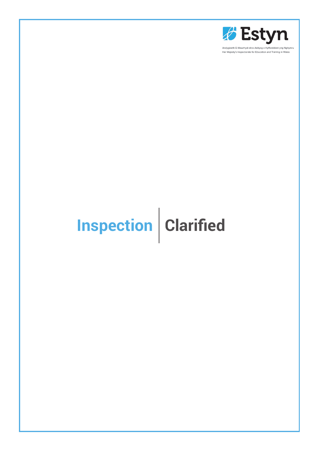

Arolygiaeth Ei Mawrhydi dros Addysg a Hyfforddiant yng Nghymru Her Majesty's Inspectorate for Education and Training in Wales

# **Inspection Clarified**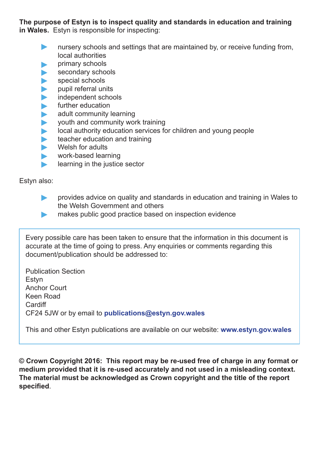**The purpose of Estyn is to inspect quality and standards in education and training in Wales.** Estyn is responsible for inspecting:

- **EXECUTE:** nursery schools and settings that are maintained by, or receive funding from, local authorities
- primary schools
- secondary schools
- special schools
- pupil referral units
- independent schools
- further education
- adult community learning
- youth and community work training
- local authority education services for children and young people
- teacher education and training
- Welsh for adults
- work-based learning
- **Learning in the justice sector**

Estyn also:

- provides advice on quality and standards in education and training in Wales to the Welsh Government and others
- **EXECUTE:** makes public good practice based on inspection evidence

Every possible care has been taken to ensure that the information in this document is accurate at the time of going to press. Any enquiries or comments regarding this document/publication should be addressed to:

Publication Section Estyn Anchor Court Keen Road **Cardiff** CF24 5JW or by email to **publications@estyn.gov.wales**

This and other Estyn publications are available on our website: **www.estyn.gov.wales**

**© Crown Copyright 2016: This report may be re-used free of charge in any format or medium provided that it is re-used accurately and not used in a misleading context. The material must be acknowledged as Crown copyright and the title of the report specified**.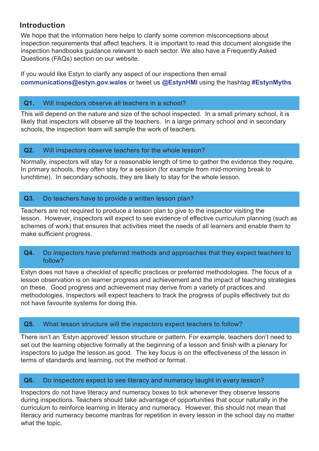# **Introduction**

We hope that the information here helps to clarify some common misconceptions about inspection requirements that affect teachers. It is important to read this document alongside the inspection handbooks guidance relevant to each sector. We also have a Frequently Asked Questions (FAQs) section on our website.

If you would like Estyn to clarify any aspect of our inspections then email **communications@estyn.gov.wales** or tweet us **@EstynHMI** using the hashtag **#EstynMyths**

# **Q1.** Will inspectors observe all teachers in a school?

This will depend on the nature and size of the school inspected. In a small primary school, it is likely that inspectors will observe all the teachers. In a large primary school and in secondary schools, the inspection team will sample the work of teachers.

## **Q2.** Will inspectors observe teachers for the whole lesson?

Normally, inspectors will stay for a reasonable length of time to gather the evidence they require. In primary schools, they often stay for a session (for example from mid-morning break to lunchtime). In secondary schools, they are likely to stay for the whole lesson.

# **Q3.** Do teachers have to provide a written lesson plan?

Teachers are not required to produce a lesson plan to give to the inspector visiting the lesson. However, inspectors will expect to see evidence of effective curriculum planning (such as schemes of work) that ensures that activities meet the needs of all learners and enable them to make sufficient progress.

## **Q4.** Do inspectors have preferred methods and approaches that they expect teachers to follow?

Estyn does not have a checklist of specific practices or preferred methodologies. The focus of a lesson observation is on learner progress and achievement and the impact of teaching strategies on these. Good progress and achievement may derive from a variety of practices and methodologies. Inspectors will expect teachers to track the progress of pupils effectively but do not have favourite systems for doing this.

# **Q5.** What lesson structure will the inspectors expect teachers to follow?

There isn't an 'Estyn approved' lesson structure or pattern. For example, teachers don't need to set out the learning objective formally at the beginning of a lesson and finish with a plenary for inspectors to judge the lesson as good. The key focus is on the effectiveness of the lesson in terms of standards and learning, not the method or format.

# **Q6.** Do inspectors expect to see literacy and numeracy taught in every lesson?

Inspectors do not have literacy and numeracy boxes to tick whenever they observe lessons during inspections. Teachers should take advantage of opportunities that occur naturally in the curriculum to reinforce learning in literacy and numeracy. However, this should not mean that literacy and numeracy become mantras for repetition in every lesson in the school day no matter what the topic.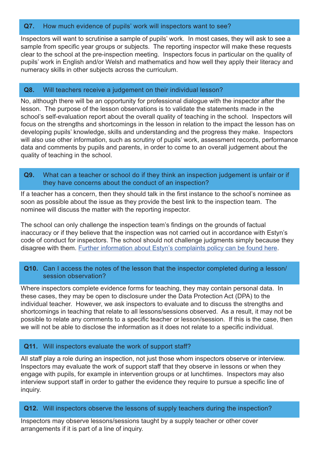# **Q7.** How much evidence of pupils' work will inspectors want to see?

Inspectors will want to scrutinise a sample of pupils' work. In most cases, they will ask to see a sample from specific year groups or subjects. The reporting inspector will make these requests clear to the school at the pre-inspection meeting. Inspectors focus in particular on the quality of pupils' work in English and/or Welsh and mathematics and how well they apply their literacy and numeracy skills in other subjects across the curriculum.

#### **Q8.** Will teachers receive a judgement on their individual lesson?

No, although there will be an opportunity for professional dialogue with the inspector after the lesson. The purpose of the lesson observations is to validate the statements made in the school's self-evaluation report about the overall quality of teaching in the school. Inspectors will focus on the strengths and shortcomings in the lesson in relation to the impact the lesson has on developing pupils' knowledge, skills and understanding and the progress they make. Inspectors will also use other information, such as scrutiny of pupils' work, assessment records, performance data and comments by pupils and parents, in order to come to an overall judgement about the quality of teaching in the school.

**Q9.** What can a teacher or school do if they think an inspection judgement is unfair or if they have concerns about the conduct of an inspection?

If a teacher has a concern, then they should talk in the first instance to the school's nominee as soon as possible about the issue as they provide the best link to the inspection team. The nominee will discuss the matter with the reporting inspector.

The school can only challenge the inspection team's findings on the grounds of factual inaccuracy or if they believe that the inspection was not carried out in accordance with Estyn's code of conduct for inspectors. The school should not challenge judgments simply because they disagree with them. [Further information about Estyn's complaints policy can be found here.](http://www.estyn.gov.wales/sites/default/files/documents/Complaints%20Handling%20Procedure%20Nov%202015%20eng.pdf)

#### **Q10.** Can I access the notes of the lesson that the inspector completed during a lesson/ session observation?

Where inspectors complete evidence forms for teaching, they may contain personal data. In these cases, they may be open to disclosure under the Data Protection Act (DPA) to the individual teacher. However, we ask inspectors to evaluate and to discuss the strengths and shortcomings in teaching that relate to all lessons/sessions observed. As a result, it may not be possible to relate any comments to a specific teacher or lesson/session. If this is the case, then we will not be able to disclose the information as it does not relate to a specific individual.

# **Q11.** Will inspectors evaluate the work of support staff?

All staff play a role during an inspection, not just those whom inspectors observe or interview. Inspectors may evaluate the work of support staff that they observe in lessons or when they engage with pupils, for example in intervention groups or at lunchtimes. Inspectors may also interview support staff in order to gather the evidence they require to pursue a specific line of inquiry.

#### **Q12.** Will inspectors observe the lessons of supply teachers during the inspection?

Inspectors may observe lessons/sessions taught by a supply teacher or other cover arrangements if it is part of a line of inquiry.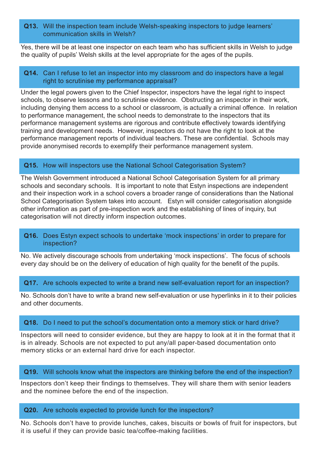#### **Q13.** Will the inspection team include Welsh-speaking inspectors to judge learners' communication skills in Welsh?

Yes, there will be at least one inspector on each team who has sufficient skills in Welsh to judge the quality of pupils' Welsh skills at the level appropriate for the ages of the pupils.

# **Q14.** Can I refuse to let an inspector into my classroom and do inspectors have a legal right to scrutinise my performance appraisal?

Under the legal powers given to the Chief Inspector, inspectors have the legal right to inspect schools, to observe lessons and to scrutinise evidence. Obstructing an inspector in their work, including denying them access to a school or classroom, is actually a criminal offence. In relation to performance management, the school needs to demonstrate to the inspectors that its performance management systems are rigorous and contribute effectively towards identifying training and development needs. However, inspectors do not have the right to look at the performance management reports of individual teachers. These are confidential. Schools may provide anonymised records to exemplify their performance management system.

# **Q15.** How will inspectors use the National School Categorisation System?

The Welsh Government introduced a National School Categorisation System for all primary schools and secondary schools. It is important to note that Estyn inspections are independent and their inspection work in a school covers a broader range of considerations than the National School Categorisation System takes into account. Estyn will consider categorisation alongside other information as part of pre-inspection work and the establishing of lines of inquiry, but categorisation will not directly inform inspection outcomes.

#### **Q16.** Does Estyn expect schools to undertake 'mock inspections' in order to prepare for inspection?

No. We actively discourage schools from undertaking 'mock inspections'. The focus of schools every day should be on the delivery of education of high quality for the benefit of the pupils.

#### **Q17.** Are schools expected to write a brand new self-evaluation report for an inspection?

No. Schools don't have to write a brand new self-evaluation or use hyperlinks in it to their policies and other documents.

#### **Q18.** Do I need to put the school's documentation onto a memory stick or hard drive?

Inspectors will need to consider evidence, but they are happy to look at it in the format that it is in already. Schools are not expected to put any/all paper-based documentation onto memory sticks or an external hard drive for each inspector.

#### **Q19.** Will schools know what the inspectors are thinking before the end of the inspection?

Inspectors don't keep their findings to themselves. They will share them with senior leaders and the nominee before the end of the inspection.

#### **Q20.** Are schools expected to provide lunch for the inspectors?

No. Schools don't have to provide lunches, cakes, biscuits or bowls of fruit for inspectors, but it is useful if they can provide basic tea/coffee-making facilities.